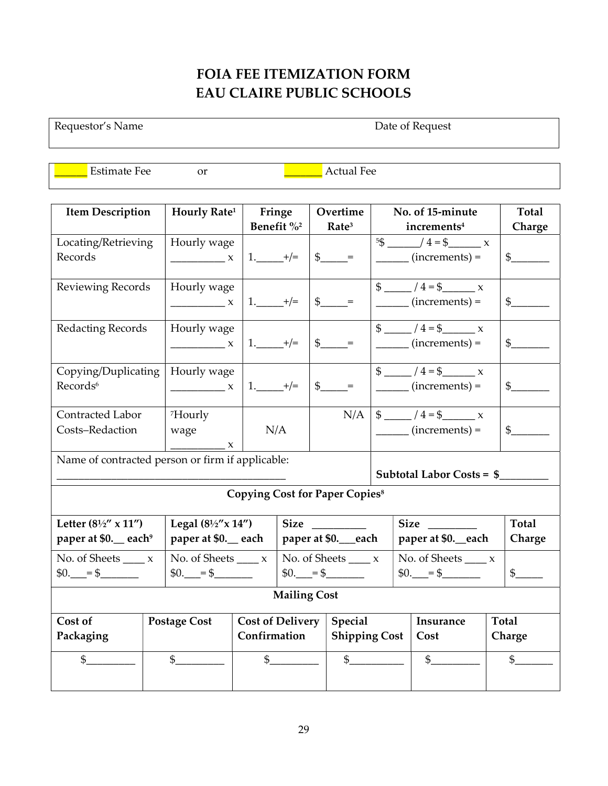## FOIA FEE ITEMIZATION FORM EAU CLAIRE PUBLIC SCHOOLS

Requestor's Name Date of Request

Estimate Fee or <u>Latin Actual Fee</u>

| <b>Item Description</b>                                           | Hourly Rate <sup>1</sup> |                        | Fringe<br>Overtime |                                           |                      | No. of 15-minute                     |                                                                                    |  | <b>Total</b>   |  |  |
|-------------------------------------------------------------------|--------------------------|------------------------|--------------------|-------------------------------------------|----------------------|--------------------------------------|------------------------------------------------------------------------------------|--|----------------|--|--|
|                                                                   |                          | Benefit % <sup>2</sup> |                    | Rate <sup>3</sup>                         |                      |                                      | increments <sup>4</sup>                                                            |  | Charge         |  |  |
| Locating/Retrieving                                               | Hourly wage              |                        |                    |                                           |                      |                                      | $5\frac{3}{2}$ $4 = \frac{3}{2}$ x                                                 |  |                |  |  |
| Records                                                           | $\frac{1}{1}$ x          | $1.$ $+/-$             |                    | $\$\$ =                                   |                      |                                      | $\frac{\ }{\ }$ (increments) =                                                     |  | $\frac{1}{2}$  |  |  |
|                                                                   |                          |                        |                    |                                           |                      |                                      |                                                                                    |  |                |  |  |
| Reviewing Records                                                 | Hourly wage              |                        |                    |                                           |                      |                                      |                                                                                    |  |                |  |  |
|                                                                   | $\frac{1}{1}$ x          | $1.$ $+/-$             |                    | $\frac{1}{2}$ =                           |                      |                                      | $\frac{1}{\sqrt{1-\frac{1}{2}}\cdot\frac{1}{\sqrt{1-\frac{1}{2}}}}$ (increments) = |  | $\frac{1}{2}$  |  |  |
|                                                                   |                          |                        |                    |                                           |                      |                                      |                                                                                    |  |                |  |  |
| Redacting Records                                                 | Hourly wage              |                        |                    |                                           |                      |                                      | $\frac{1}{2}$ /4=\$ x                                                              |  |                |  |  |
|                                                                   | $\frac{1}{1}$ X          | $1.$ $+/-$             |                    | $\frac{1}{2}$ =                           |                      |                                      | $\frac{1}{\sqrt{1-\frac{1}{2}}\left( \text{increments}\right)}$                    |  | $\frac{1}{2}$  |  |  |
|                                                                   |                          |                        |                    |                                           |                      |                                      |                                                                                    |  |                |  |  |
| Copying/Duplicating                                               | Hourly wage              |                        |                    |                                           |                      |                                      | $\frac{1}{2}$ / 4 = \$ x                                                           |  |                |  |  |
| Records <sup>6</sup>                                              | $\frac{1}{1}$ x          | $1.$ $+/-$             |                    | $\$\$ =                                   |                      |                                      | $\frac{1}{\sqrt{1-\frac{1}{2}}\left( \text{increments}\right)}$                    |  | $\frac{1}{2}$  |  |  |
|                                                                   |                          |                        |                    |                                           |                      |                                      |                                                                                    |  |                |  |  |
| Contracted Labor                                                  | <sup>7</sup> Hourly      |                        |                    |                                           |                      |                                      | $N/A$   \$ _____ / 4 = \$ _____ x                                                  |  |                |  |  |
| Costs-Redaction                                                   | wage                     | N/A                    |                    |                                           |                      |                                      | $\frac{1}{2}$ (increments) =                                                       |  | $\frac{1}{2}$  |  |  |
|                                                                   | $\mathbf{x}$             |                        |                    |                                           |                      |                                      |                                                                                    |  |                |  |  |
| Name of contracted person or firm if applicable:                  |                          |                        |                    |                                           |                      |                                      |                                                                                    |  |                |  |  |
|                                                                   |                          |                        |                    |                                           |                      | Subtotal Labor Costs = $\frac{1}{2}$ |                                                                                    |  |                |  |  |
|                                                                   |                          |                        |                    |                                           |                      |                                      |                                                                                    |  |                |  |  |
| <b>Copying Cost for Paper Copies<sup>8</sup></b>                  |                          |                        |                    |                                           |                      |                                      |                                                                                    |  |                |  |  |
| Legal $(8\frac{1}{2}x$ $14'')$<br>Letter $(8\frac{1}{2}$ " x 11") |                          |                        | Size               |                                           |                      | Size                                 |                                                                                    |  | <b>Total</b>   |  |  |
| paper at \$0. each <sup>9</sup>                                   | paper at \$0. each       |                        | paper at \$0._each |                                           |                      | paper at \$0. each                   |                                                                                    |  | Charge         |  |  |
| No. of Sheets $\_\_\_x$                                           | No. of Sheets $\_\_\_x$  |                        |                    | No. of Sheets $\_\_\_x$                   |                      |                                      | No. of Sheets $\_\_\_x$                                                            |  |                |  |  |
| $0.$ = \$<br>$$0.$ = \$                                           |                          |                        | $0.$ = \$          |                                           |                      | $$0.$ = \$                           |                                                                                    |  | $\frac{1}{2}$  |  |  |
|                                                                   |                          |                        |                    |                                           |                      |                                      |                                                                                    |  |                |  |  |
| <b>Mailing Cost</b>                                               |                          |                        |                    |                                           |                      |                                      |                                                                                    |  |                |  |  |
| Cost of                                                           | <b>Postage Cost</b>      |                        |                    | <b>Cost of Delivery</b><br><b>Special</b> |                      |                                      | Insurance                                                                          |  | <b>Total</b>   |  |  |
| Packaging                                                         |                          | Confirmation           |                    |                                           | <b>Shipping Cost</b> |                                      | Cost                                                                               |  | Charge         |  |  |
|                                                                   |                          |                        |                    |                                           |                      |                                      |                                                                                    |  |                |  |  |
| \$                                                                | $\frac{1}{2}$            |                        | $\mathbb{S}$       |                                           | $\mathbb{S}$         |                                      | $\frac{1}{2}$                                                                      |  | $\mathfrak{S}$ |  |  |
|                                                                   |                          |                        |                    |                                           |                      |                                      |                                                                                    |  |                |  |  |
|                                                                   |                          |                        |                    |                                           |                      |                                      |                                                                                    |  |                |  |  |